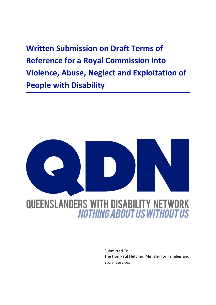**Written Submission on Draft Terms of Reference for a Royal Commission into Violence, Abuse, Neglect and Exploitation of People with Disability**



Submitted To: The Hon Paul Fletcher, Minister for Families and Social Services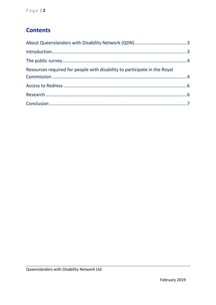# **Contents**

| Resources required for people with disability to participate in the Royal |  |
|---------------------------------------------------------------------------|--|
|                                                                           |  |
|                                                                           |  |
|                                                                           |  |
|                                                                           |  |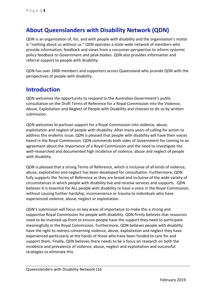## <span id="page-2-0"></span>**About Queenslanders with Disability Network (QDN)**

QDN is an organisation of, for, and with people with disability and the organisation's motto is "nothing about us without us." QDN operates a state-wide network of members who provide information, feedback and views from a consumer perspective to inform systemic policy feedback to Government and peak bodies. QDN also provides information and referral support to people with disability.

QDN has over 2000 members and supporters across Queensland who provide QDN with the perspectives of people with disability.

## <span id="page-2-1"></span>**Introduction**

QDN welcomes the opportunity to respond to the Australian Government's public consultation on the Draft Terms of Reference for a Royal Commission into the Violence, Abuse, Exploitation and Neglect of People with Disability and chooses to do so by written submission.

QDN welcomes bi-partisan support for a Royal Commission into violence, abuse, exploitation and neglect of people with disability. After many years of calling for action to address this endemic issue, QDN is pleased that people with disability will have their voices heard in the Royal Commission. QDN commends both sides of Government for coming to an agreement about the importance of a Royal Commission and the need to investigate the well-researched and documented high incidence of violence, abuse and neglect of people with disability.

QDN is pleased that a strong Terms of Reference, which is inclusive of all kinds of violence, abuse, exploitation and neglect has been developed for consultation. Furthermore, QDN fully supports the Terms of Reference as they are broad and inclusive of the wide variety of circumstances in which people with disability live and receive services and supports. QDN believes it is essential for ALL people with disability to have a voice in the Royal Commission, without causing further hardship, inconvenience or trauma to individuals who have experienced violence, abuse, neglect or exploitation.

QDN's submission will focus on key areas of importance to make this a strong and supportive Royal Commission for people with disability. QDN firmly believes that resources need to be invested up-front to ensure people have the support they need to participate meaningfully in the Royal Commission. Furthermore, QDN believes people with disability have the right to redress concerning violence, abuse, exploitation and neglect they have experienced particularly at the hands of those who have been funded to care for and support them. Finally, QDN believes there needs to be a focus on research on both the incidence and prevalence of violence, abuse, neglect and exploitation and successful strategies to eliminate this.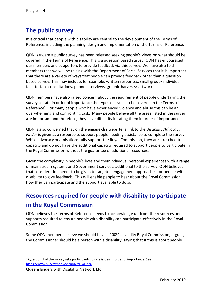## <span id="page-3-0"></span>**The public survey**

It is critical that people with disability are central to the development of the Terms of Reference, including the planning, design and implementation of the Terms of Reference.

QDN is aware a public survey has been released seeking people's views on what should be covered in the Terms of Reference. This is a question based survey. QDN has encouraged our members and supporters to provide feedback via this survey. We have also told members that we will be raising with the Department of Social Services that it is important that there are a variety of ways that people can provide feedback other than a question based survey. This may include, for example, written responses, small group/ individual face-to-face consultations, phone interviews, graphic harvests/ artwork.

QDN members have also raised concern about the requirement of people undertaking the survey to rate in order of importance the types of issues to be covered in the Terms of Reference<sup>1</sup>. For many people who have experienced violence and abuse this can be an overwhelming and confronting task. Many people believe all the areas listed in the survey are important and therefore, they have difficulty in rating them in order of importance.

QDN is also concerned that on the engage-dss website, a link to the *Disability Advocacy Finder* is given as a resource to support people needing assistance to complete the survey. While advocacy organisations fully support the Royal Commission, they are stretched to capacity and do not have the additional capacity required to support people to participate in the Royal Commission without the guarantee of additional resources.

Given the complexity in people's lives and their individual personal experiences with a range of mainstream systems and Government services, additional to the survey, QDN believes that consideration needs to be given to targeted engagement approaches for people with disability to give feedback. This will enable people to hear about the Royal Commission, how they can participate and the support available to do so.

# <span id="page-3-1"></span>**Resources required for people with disability to participate in the Royal Commission**

QDN believes the Terms of Reference needs to acknowledge up-front the resources and supports required to ensure people with disability can participate effectively in the Royal Commission.

Some QDN members believe we should have a 100% disability Royal Commission, arguing the Commissioner should be a person with a disability, saying that if this is about people

-

<sup>&</sup>lt;sup>1</sup> Question 1 of the survey asks participants to rate issues in order of importance. See: <https://www.surveymonkey.com/r/LSXH77X>

Queenslanders with Disability Network Ltd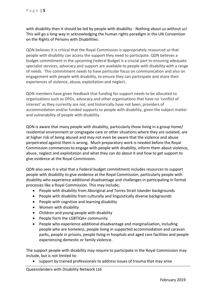with disability then it should be led by people with disability - Nothing about us without us! This will go a long way in acknowledging the human rights paradigm in the UN Convention on the Rights of Persons with Disabilities.

QDN believes it is critical that the Royal Commission is appropriately resourced so that people with disability can access the support they need to participate. QDN believes a budget commitment in the upcoming Federal Budget is a crucial part to ensuring adequate specialist services, advocacy and support are available to people with disability with a range of needs. This commitment needs to have particular focus on communication and also on engagement with people with disability, to ensure they can participate and share their experiences of violence, abuse, exploitation and neglect.

QDN members have given feedback that funding for support needs to be allocated to organisations such as DPOs, advocacy and other organisations that have no 'conflict of interest' as they currently are not, and historically have not been, providers of accommodation and/or funded supports to people with disability, given the subject matter and vulnerability of people with disability.

QDN is aware that many people with disability, particularly those living in a group home/ residential environment or congregate care or other situations where they are isolated, are at higher risk of being abused and may not even be aware that the violence and abuse perpetrated against them is wrong. Much preparatory work is needed before the Royal Commission commences to engage with people with disability, inform them about violence, abuse, neglect and exploitation and what they can do about it and how to get support to give evidence at the Royal Commission.

QDN also sees it is vital that a Federal budget commitment includes resources to support people with disability to give evidence at the Royal Commission, particularly people with disability who experience additional disadvantage and challenges in participating in formal processes like a Royal Commission. This may include;

- People with disability from Aboriginal and Torres Strait Islander backgrounds
- People with disability from culturally and linguistically diverse backgrounds
- People with cognitive and learning disability
- Women with disability
- Children and young people with disability
- People form the LGBTIQA+ community
- People who experience additional disadvantage and marginalisation, including people who are homeless, people living in supported accommodation and caravan parks, people in prisons, people living in hospitals and aged care facilities and people experiencing domestic or family violence.

The support people with disability may require to participate in the Royal Commission may include, but is not limited to:

support by trained professionals to address issues of trauma that may arise

Queenslanders with Disability Network Ltd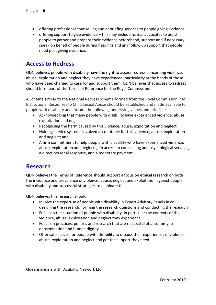- offering professional counselling and debriefing services to people giving evidence
- offering support to give evidence this may include formal advocates to assist people to gather and prepare their evidence beforehand, support and if necessary, speak on behalf of people during hearings and any follow up support that people need post giving evidence.

#### <span id="page-5-0"></span>**Access to Redress**

QDN believes people with disability have the right to access redress concerning violence, abuse, exploitation and neglect they have experienced, particularly at the hands of those who have been charged to care for and support them. QDN believes that access to redress should form part of the Terms of Reference for the Royal Commission.

A Scheme similar to the National Redress Scheme formed from the Royal Commission into Institutional Responses to Child Sexual Abuse should be established and made available to people with disability and include the following underlying values and principles:

- Acknowledging that many people with disability have experienced violence, abuse, exploitation and neglect
- Recognising the harm caused by this violence, abuse, exploitation and neglect
- Holding service systems involved accountable for this violence, abuse, exploitation and neglect; and
- A firm commitment to help people with disability who have experienced violence, abuse, exploitation and neglect gain access to counselling and psychological services, a direct personal response, and a monetary payment.

## <span id="page-5-1"></span>**Research**

QDN believes the Terms of Reference should support a focus on ethical research on both the incidence and prevalence of violence, abuse, neglect and exploitation against people with disability and successful strategies to eliminate this.

QDN believes this research should:

- Involve the expertise of people with disability in Expert Advisory Panels in codesigning the research, forming the research questions and conducting the research
- Focus on the situation of people with disability, in particular the contexts of the violence, abuse, exploitation and neglect they experience
- Focus on practices, policies and research that are respectful of autonomy, selfdetermination and human dignity.
- Offer safe spaces for people with disability to discuss their experiences of violence, abuse, exploitation and neglect and get the support they need